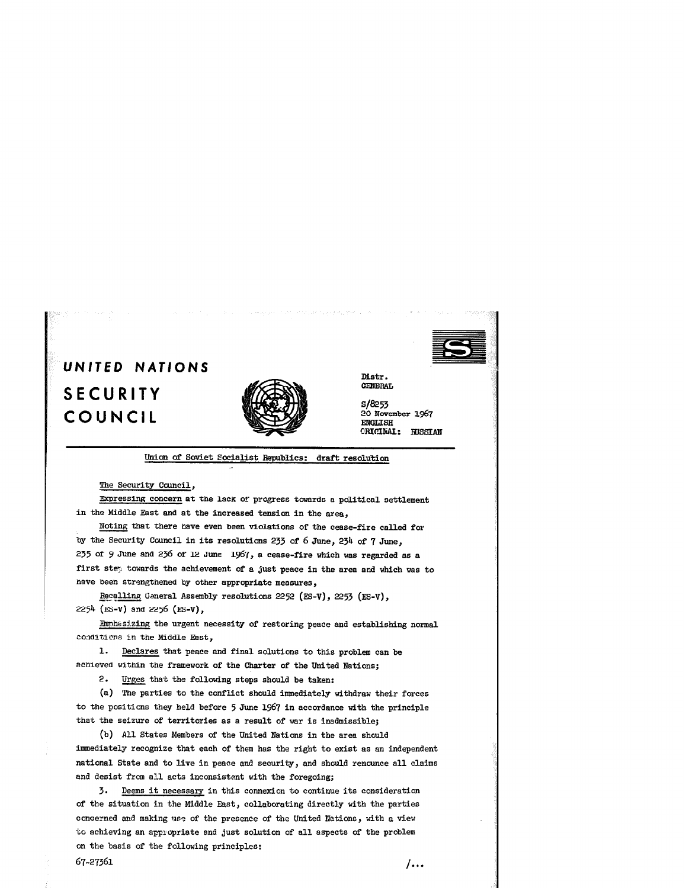

## UNITED NATIONS SECURITY COUNCIL



Distr.<br>GENERAL

S/8253 20 November 1967 **ENGLISH** CRICINAI: RUSSIAN

Union of Soviet Socialist Republics: draft resolution

The Security Council.

Ernressing concern at the lack of progress towards a political settlement in the Middle East and at the increased tension in the area,

Noting that there have even been violations of the cease-fire called for by the Security Council in its resolutions 233 of 6 June, 234 of 7 June, 235 of 9 June and 236 of 12 June 1967, a cease-fire which was regarded as a first stey towards the achievement of a just peace in the area and which was to have been strengthened by other appropriate measures.

Recalling General Assembly resolutions 2252 (ES-V), 2253 (ES-V), 2254 (ES-V) and 2256 (ES-V),

Rnphssizing the urgent necessity of restoring peace and establishing normal conditions in the Middle East,

1. Declares that peace and final solutions to this problem can be achieved within the framework of the Charter of the United Nations;

2. Urges that the following steps should be taken:

(a) The parties to the conflict should immediately withdraw their forces to the positions they held before 5 June 1967 in accordance with the principle that the seizure of territories as a result of war is inadmissible;

(b) All States Members of the United Nations in the area should immediately recognize that each of them has the right to exist as an independent national State and to live in peace and security, and should renounce all claims and desist from all acts inconsistent with the foregoing;

3. Deems it necessary in this connexion to continue its consideration of the situation in the Middle East, collaborating directly with the parties concerned and making use of the presence of the United Nations, with a view to achieving an appropriate and just solution of all aspects of the problem on the basis of the following principles:  $67.27361$   $1$